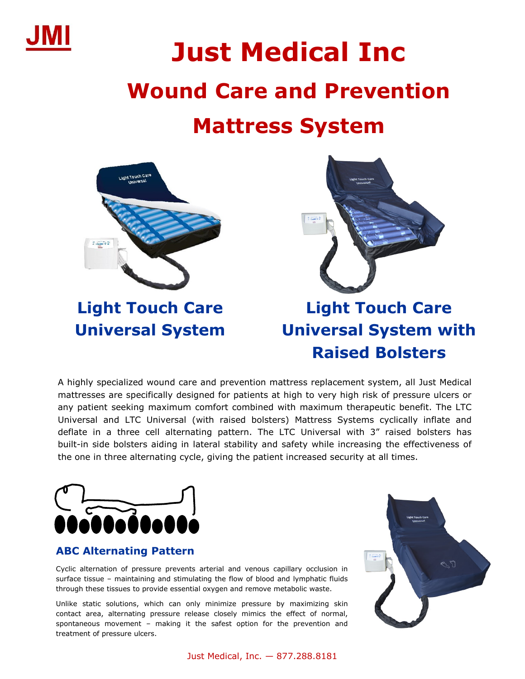

# **Just Medical Inc Wound Care and Prevention**

## **Mattress System**



**Light Touch Care Universal System**



### **Light Touch Care Universal System with Raised Bolsters**

A highly specialized wound care and prevention mattress replacement system, all Just Medical mattresses are specifically designed for patients at high to very high risk of pressure ulcers or any patient seeking maximum comfort combined with maximum therapeutic benefit. The LTC Universal and LTC Universal (with raised bolsters) Mattress Systems cyclically inflate and deflate in a three cell alternating pattern. The LTC Universal with 3" raised bolsters has built-in side bolsters aiding in lateral stability and safety while increasing the effectiveness of the one in three alternating cycle, giving the patient increased security at all times.



#### **ABC Alternating Pattern**

Cyclic alternation of pressure prevents arterial and venous capillary occlusion in surface tissue – maintaining and stimulating the flow of blood and lymphatic fluids through these tissues to provide essential oxygen and remove metabolic waste.

Unlike static solutions, which can only minimize pressure by maximizing skin contact area, alternating pressure release closely mimics the effect of normal, spontaneous movement – making it the safest option for the prevention and treatment of pressure ulcers.